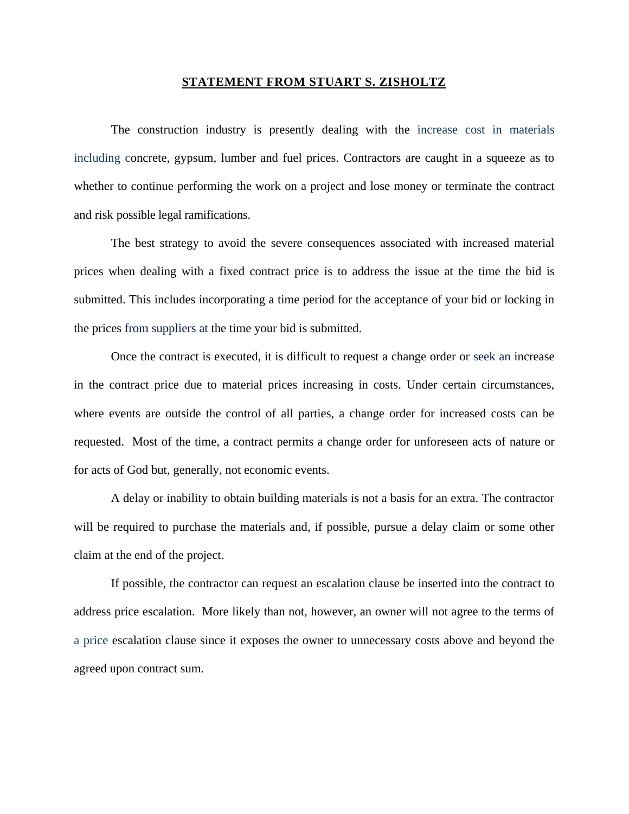## **STATEMENT FROM STUART S. ZISHOLTZ**

The construction industry is presently dealing with the increase cost in materials including concrete, gypsum, lumber and fuel prices. Contractors are caught in a squeeze as to whether to continue performing the work on a project and lose money or terminate the contract and risk possible legal ramifications.

The best strategy to avoid the severe consequences associated with increased material prices when dealing with a fixed contract price is to address the issue at the time the bid is submitted. This includes incorporating a time period for the acceptance of your bid or locking in the prices from suppliers at the time your bid is submitted.

Once the contract is executed, it is difficult to request a change order or seek an increase in the contract price due to material prices increasing in costs. Under certain circumstances, where events are outside the control of all parties, a change order for increased costs can be requested. Most of the time, a contract permits a change order for unforeseen acts of nature or for acts of God but, generally, not economic events.

A delay or inability to obtain building materials is not a basis for an extra. The contractor will be required to purchase the materials and, if possible, pursue a delay claim or some other claim at the end of the project.

If possible, the contractor can request an escalation clause be inserted into the contract to address price escalation. More likely than not, however, an owner will not agree to the terms of a price escalation clause since it exposes the owner to unnecessary costs above and beyond the agreed upon contract sum.